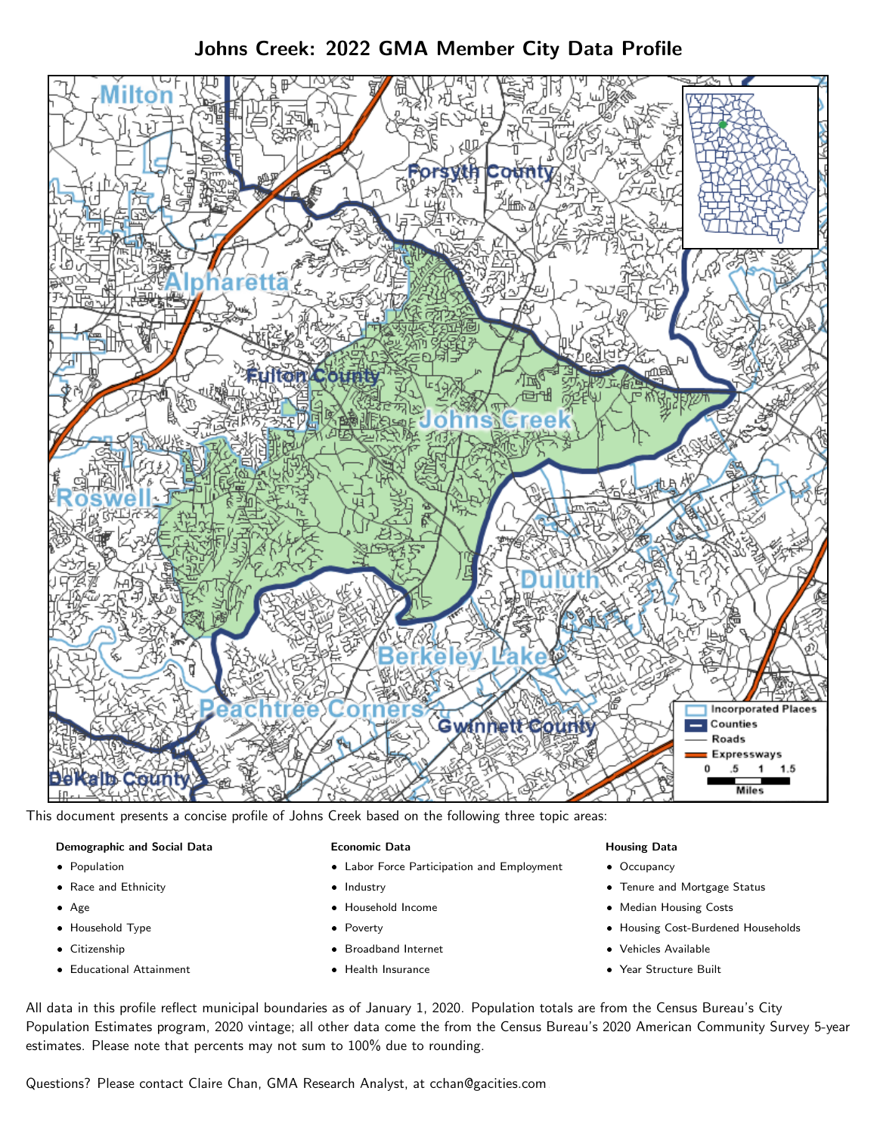# Johns Creek: 2022 GMA Member City Data Profile



This document presents a concise profile of Johns Creek based on the following three topic areas:

### Demographic and Social Data

- **•** Population
- Race and Ethnicity
- Age
- Household Type
- **Citizenship**
- Educational Attainment

### Economic Data

- Labor Force Participation and Employment
- Industry
- Household Income
- Poverty
- Broadband Internet
- Health Insurance

### Housing Data

- Occupancy
- Tenure and Mortgage Status
- Median Housing Costs
- Housing Cost-Burdened Households
- Vehicles Available
- Year Structure Built

All data in this profile reflect municipal boundaries as of January 1, 2020. Population totals are from the Census Bureau's City Population Estimates program, 2020 vintage; all other data come the from the Census Bureau's 2020 American Community Survey 5-year estimates. Please note that percents may not sum to 100% due to rounding.

Questions? Please contact Claire Chan, GMA Research Analyst, at [cchan@gacities.com.](mailto:cchan@gacities.com)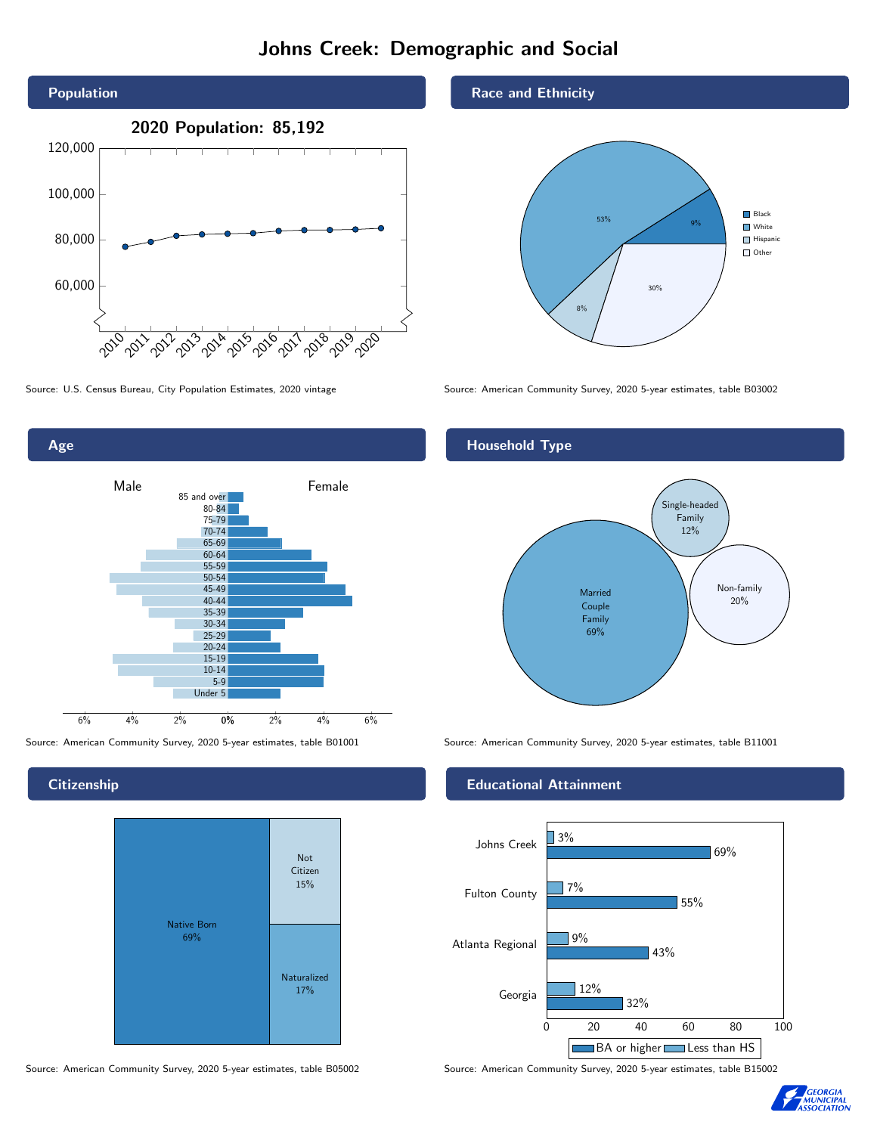# Johns Creek: Demographic and Social



Age 0% 2% 4% 6% Male **Female** 6% 4% 2% 85 and over 80-84 75-79 70-74 65-69 60-64 55-59 50-54 45-49 40-44 35-39 30-34 25-29 20-24 15-19  $10-14$ 5-9 Under 5

**Citizenship** 



Source: American Community Survey, 2020 5-year estimates, table B05002 Source: American Community Survey, 2020 5-year estimates, table B15002

Race and Ethnicity



Source: U.S. Census Bureau, City Population Estimates, 2020 vintage Source: American Community Survey, 2020 5-year estimates, table B03002

## Household Type



Source: American Community Survey, 2020 5-year estimates, table B01001 Source: American Community Survey, 2020 5-year estimates, table B11001

### Educational Attainment



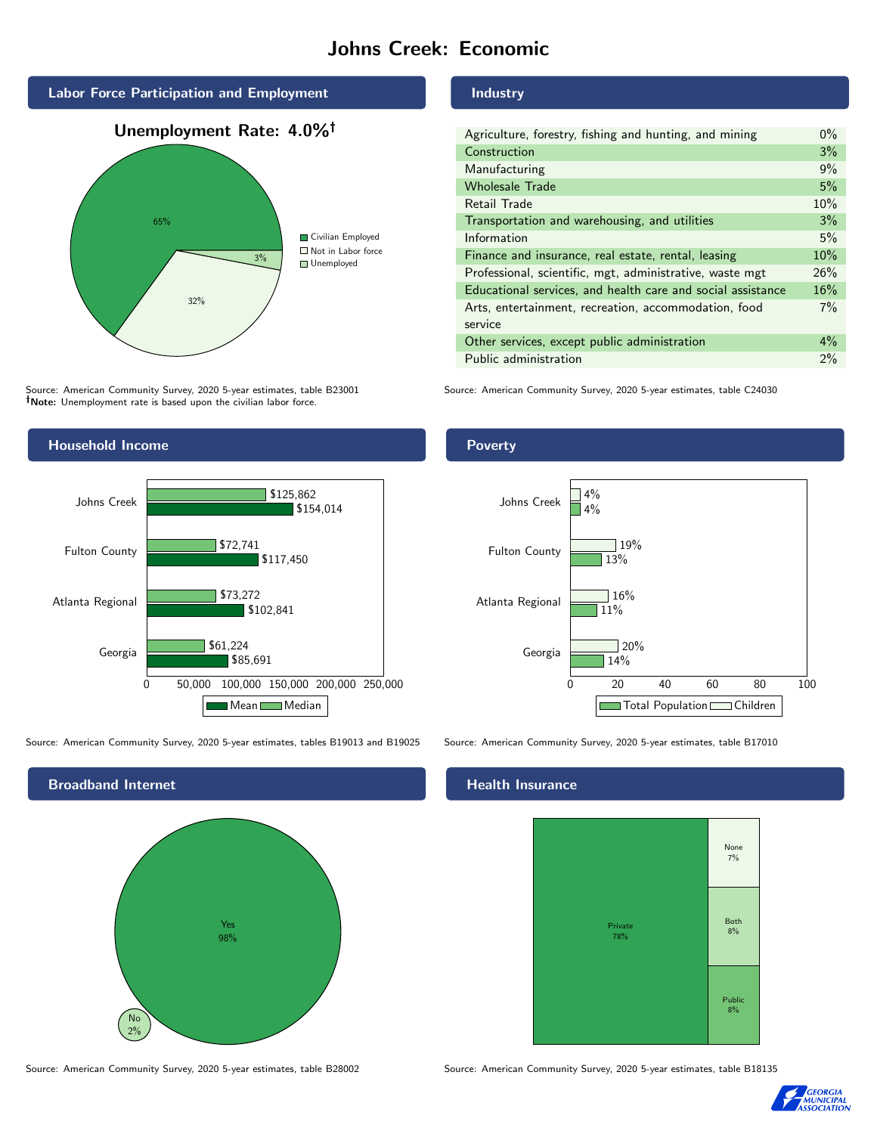## Johns Creek: Economic



Source: American Community Survey, 2020 5-year estimates, table B23001 Note: Unemployment rate is based upon the civilian labor force.



Source: American Community Survey, 2020 5-year estimates, tables B19013 and B19025 Source: American Community Survey, 2020 5-year estimates, table B17010



Source: American Community Survey, 2020 5-year estimates, table B28002 Source: American Community Survey, 2020 5-year estimates, table B18135

#### Industry

| Agriculture, forestry, fishing and hunting, and mining      | $0\%$ |
|-------------------------------------------------------------|-------|
| Construction                                                | 3%    |
| Manufacturing                                               | 9%    |
| <b>Wholesale Trade</b>                                      | 5%    |
| Retail Trade                                                | 10%   |
| Transportation and warehousing, and utilities               | 3%    |
| Information                                                 | 5%    |
| Finance and insurance, real estate, rental, leasing         | 10%   |
| Professional, scientific, mgt, administrative, waste mgt    | 26%   |
| Educational services, and health care and social assistance | 16%   |
| Arts, entertainment, recreation, accommodation, food        | $7\%$ |
| service                                                     |       |
| Other services, except public administration                | $4\%$ |
| Public administration                                       | 2%    |

Source: American Community Survey, 2020 5-year estimates, table C24030

### Poverty



## **Health Insurance**